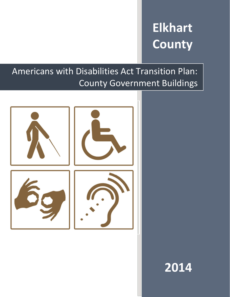# **Elkhart County**

## Americans with Disabilities Act Transition Plan: County Government Buildings



## **2014**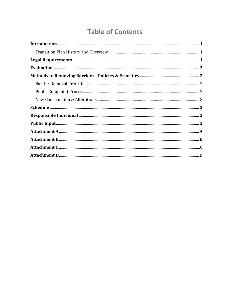## **Table of Contents**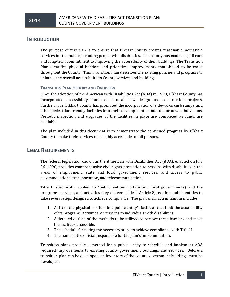#### **INTRODUCTION**

The purpose of this plan is to ensure that Elkhart County creates reasonable, accessible services for the public, including people with disabilities. The county has made a significant and long-term commitment to improving the accessibility of their buildings. The Transition Plan identifies physical barriers and prioritizes improvements that should to be made throughout the County. This Transition Plan describes the existing policies and programs to enhance the overall accessibility to County services and buildings.

#### **TRANSITION PLAN HISTORY AND OVERVIEW**

Since the adoption of the American with Disabilities Act (ADA) in 1990, Elkhart County has incorporated accessibility standards into all new design and construction projects. Furthermore, Elkhart County has promoted the incorporation of sidewalks, curb ramps, and other pedestrian friendly facilities into their development standards for new subdivisions. Periodic inspection and upgrades of the facilities in place are completed as funds are available.

The plan included in this document is to demonstrate the continued progress by Elkhart County to make their services reasonably accessible for all persons.

#### **LEGAL REQUIREMENTS**

The federal legislation known as the American with Disabilities Act (ADA), enacted on July 26, 1990, provides comprehensive civil rights protection to persons with disabilities in the areas of employment, state and local government services, and access to public accommodations, transportation, and telecommunications

Title II specifically applies to "public entities" (state and local governments) and the programs, services, and activities they deliver. Title II Article 8, requires public entities to take several steps designed to achieve compliance. The plan shall, at a minimum includes:

- 1. A list of the physical barriers in a public entity's facilities that limit the accessibility of its programs, activities, or services to individuals with disabilities.
- 2. A detailed outline of the methods to be utilized to remove these barriers and make the facilities accessible.
- 3. The schedule for taking the necessary steps to achieve compliance with Title II.
- 4. The name of the official responsible for the plan's implementation.

Transition plans provide a method for a public entity to schedule and implement ADA required improvements to existing county government buildings and services. Before a transition plan can be developed, an inventory of the county government buildings must be developed.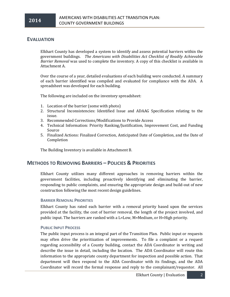#### **EVALUATION**

Elkhart County has developed a system to identify and assess potential barriers within the government buildings. *The Americans with Disabilities Act Checklist of Readily Achievable Barrier Removal* was used to complete the inventory. A copy of this checklist is available in Attachment A.

Over the course of a year, detailed evaluations of each building were conducted. A summary of each barrier identified was compiled and evaluated for compliance with the ADA. A spreadsheet was developed for each building.

The following are included on the inventory spreadsheet:

- 1. Location of the barrier (some with photo)
- 2. Structural Inconsistencies: Identified Issue and ADAAG Specification relating to the issue.
- 3. Recommended Corrections/Modifications to Provide Access
- 4. Technical Information: Priority Ranking/Justification, Improvement Cost, and Funding Source
- 5. Finalized Actions: Finalized Correction, Anticipated Date of Completion, and the Date of Completion

The Building Inventory is available in Attachment B.

#### **METHODS TO REMOVING BARRIERS – POLICIES & PRIORITIES**

Elkhart County utilizes many different approaches in removing barriers within the government facilities, including proactively identifying and eliminating the barrier, responding to public complaints, and ensuring the appropriate design and build-out of new construction following the most recent design guidelines.

#### **BARRIER REMOVAL PRIORITIES**

Elkhart County has rated each barrier with a removal priority based upon the services provided at the facility, the cost of barrier removal, the length of the project involved, and public input. The barriers are ranked with a L=Low, M=Medium, or H=High priority.

#### **PUBLIC INPUT PROCESS**

The public input process is an integral part of the Transition Plan. Public input or requests may often drive the prioritization of improvements. To file a complaint or a request regarding accessibility of a County building, contact the ADA Coordinator in writing and describe the issue in detail, including the location. The ADA Coordinator will route this information to the appropriate county department for inspection and possible action. That department will then respond to the ADA Coordinator with its findings, and the ADA Coordinator will record the formal response and reply to the complainant/requestor. All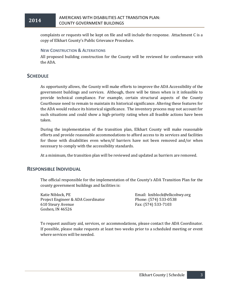

complaints or requests will be kept on file and will include the response. Attachment C is a copy of Elkhart County's Public Grievance Procedure.

#### **NEW CONSTRUCTION & ALTERATIONS**

All proposed building construction for the County will be reviewed for conformance with the ADA.

#### **SCHEDULE**

As opportunity allows, the County will make efforts to improve the ADA Accessibility of the government buildings and services. Although, there will be times when is it infeasible to provide technical compliance. For example, certain structural aspects of the County Courthouse need to remain to maintain its historical significance. Altering these features for the ADA would reduce its historical significance. The inventory process may not account for such situations and could show a high-priority rating when all feasible actions have been taken.

During the implementation of the transition plan, Elkhart County will make reasonable efforts and provide reasonable accommodations to afford access to its services and facilities for those with disabilities even when/if barriers have not been removed and/or when necessary to comply with the accessibility standards.

At a minimum, the transition plan will be reviewed and updated as barriers are removed.

#### **RESPONSIBLE INDIVIDUAL**

The official responsible for the implementation of the County's ADA Transition Plan for the county government buildings and facilities is:

Katie Niblock, PE Project Engineer & ADA Coordinator 610 Steury Avenue Goshen, IN 46526

Email: kniblock@elkcohwy.org Phone: (574) 533-0538 Fax: (574) 533-7103

To request auxiliary aid, services, or accommodations, please contact the ADA Coordinator. If possible, please make requests at least two weeks prior to a scheduled meeting or event where services will be needed.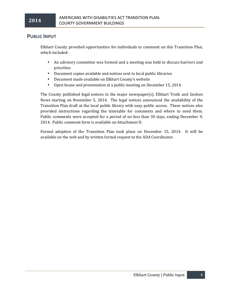#### **PUBLIC INPUT**

Elkhart County provided opportunities for individuals to comment on this Transition Plan, which included:

- An advisory committee was formed and a meeting was held to discuss barriers and priorities
- Document copies available and notices sent to local public libraries
- Document made available on Elkhart County's website
- Open house and presentation at a public meeting on December 15, 2014

The County published legal notices in the major newspaper(s), Elkhart Truth and Goshen News starting on November 5, 2014. The legal notices announced the availability of the Transition Plan draft at the local public library with easy public access. These notices also provided instructions regarding the timetable for comments and where to send them. Public comments were accepted for a period of no less than 30 days, ending December 9, 2014. Public comment form is available on Attachment D.

Formal adoption of the Transition Plan took place on December 15, 2014. It will be available on the web and by written formal request to the ADA Coordinator.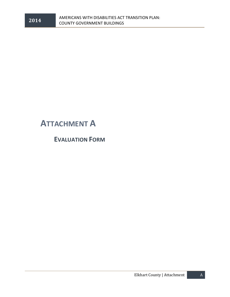

## **ATTACHMENT A**

**EVALUATION FORM**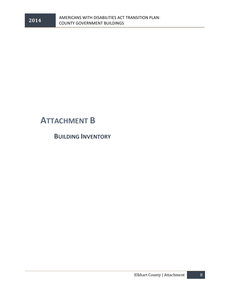

## **ATTACHMENT B**

**BUILDING INVENTORY**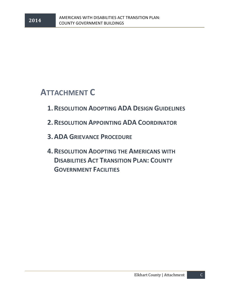## **ATTACHMENT C**

- **1.RESOLUTION ADOPTING ADA DESIGN GUIDELINES**
- **2.RESOLUTION APPOINTING ADA COORDINATOR**
- **3.ADA GRIEVANCE PROCEDURE**
- **4.RESOLUTION ADOPTING THE AMERICANS WITH DISABILITIES ACT TRANSITION PLAN: COUNTY GOVERNMENT FACILITIES**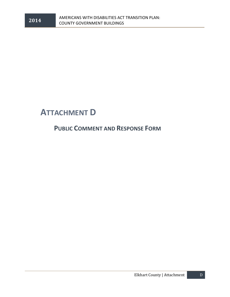

### **ATTACHMENT D**

### **PUBLIC COMMENT AND RESPONSE FORM**